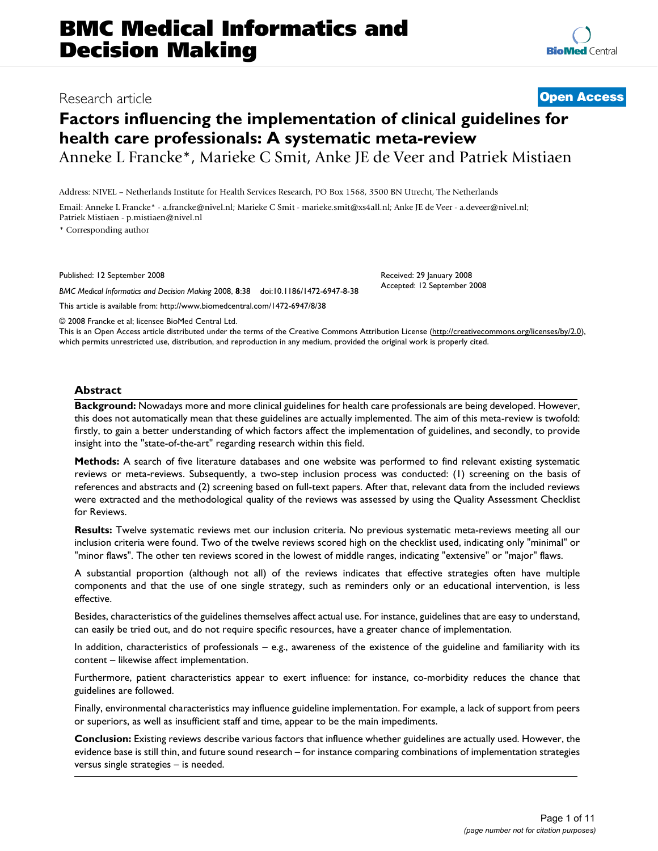Address: NIVEL – Netherlands Institute for Health Services Research, PO Box 1568, 3500 BN Utrecht, The Netherlands

Email: Anneke L Francke\* - a.francke@nivel.nl; Marieke C Smit - marieke.smit@xs4all.nl; Anke JE de Veer - a.deveer@nivel.nl; Patriek Mistiaen - p.mistiaen@nivel.nl

\* Corresponding author

Published: 12 September 2008

*BMC Medical Informatics and Decision Making* 2008, **8**:38 doi:10.1186/1472-6947-8-38

[This article is available from: http://www.biomedcentral.com/1472-6947/8/38](http://www.biomedcentral.com/1472-6947/8/38)

© 2008 Francke et al; licensee BioMed Central Ltd.

This is an Open Access article distributed under the terms of the Creative Commons Attribution License [\(http://creativecommons.org/licenses/by/2.0\)](http://creativecommons.org/licenses/by/2.0), which permits unrestricted use, distribution, and reproduction in any medium, provided the original work is properly cited.

#### **Abstract**

**Background:** Nowadays more and more clinical guidelines for health care professionals are being developed. However, this does not automatically mean that these guidelines are actually implemented. The aim of this meta-review is twofold: firstly, to gain a better understanding of which factors affect the implementation of guidelines, and secondly, to provide insight into the "state-of-the-art" regarding research within this field.

**Methods:** A search of five literature databases and one website was performed to find relevant existing systematic reviews or meta-reviews. Subsequently, a two-step inclusion process was conducted: (1) screening on the basis of references and abstracts and (2) screening based on full-text papers. After that, relevant data from the included reviews were extracted and the methodological quality of the reviews was assessed by using the Quality Assessment Checklist for Reviews.

**Results:** Twelve systematic reviews met our inclusion criteria. No previous systematic meta-reviews meeting all our inclusion criteria were found. Two of the twelve reviews scored high on the checklist used, indicating only "minimal" or "minor flaws". The other ten reviews scored in the lowest of middle ranges, indicating "extensive" or "major" flaws.

A substantial proportion (although not all) of the reviews indicates that effective strategies often have multiple components and that the use of one single strategy, such as reminders only or an educational intervention, is less effective.

Besides, characteristics of the guidelines themselves affect actual use. For instance, guidelines that are easy to understand, can easily be tried out, and do not require specific resources, have a greater chance of implementation.

In addition, characteristics of professionals – e.g., awareness of the existence of the guideline and familiarity with its content – likewise affect implementation.

Furthermore, patient characteristics appear to exert influence: for instance, co-morbidity reduces the chance that guidelines are followed.

Finally, environmental characteristics may influence guideline implementation. For example, a lack of support from peers or superiors, as well as insufficient staff and time, appear to be the main impediments.

**Conclusion:** Existing reviews describe various factors that influence whether guidelines are actually used. However, the evidence base is still thin, and future sound research – for instance comparing combinations of implementation strategies versus single strategies – is needed.

> Page 1 of 11 *(page number not for citation purposes)*

Received: 29 January 2008 Accepted: 12 September 2008

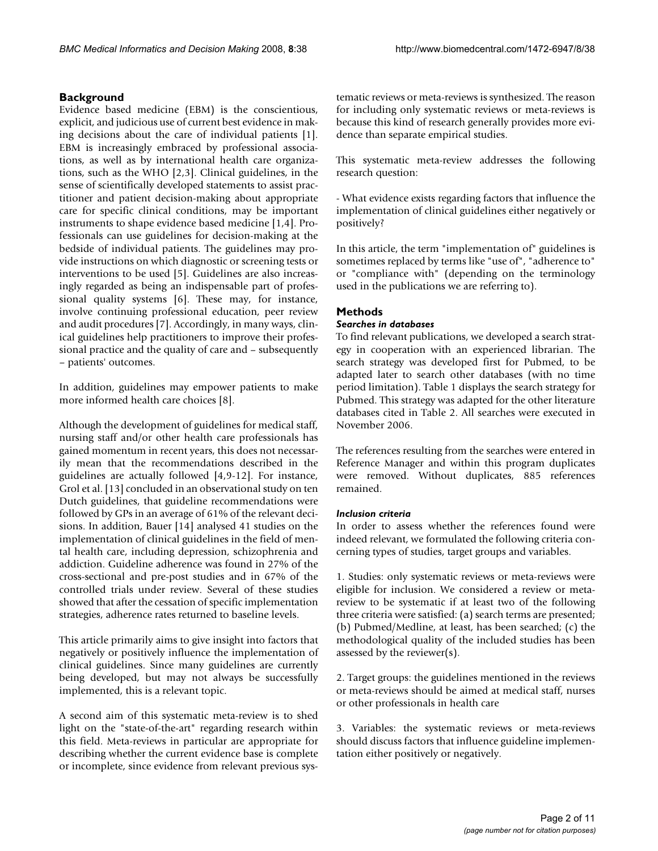# **Background**

Evidence based medicine (EBM) is the conscientious, explicit, and judicious use of current best evidence in making decisions about the care of individual patients [1]. EBM is increasingly embraced by professional associations, as well as by international health care organizations, such as the WHO [2,3]. Clinical guidelines, in the sense of scientifically developed statements to assist practitioner and patient decision-making about appropriate care for specific clinical conditions, may be important instruments to shape evidence based medicine [1,4]. Professionals can use guidelines for decision-making at the bedside of individual patients. The guidelines may provide instructions on which diagnostic or screening tests or interventions to be used [5]. Guidelines are also increasingly regarded as being an indispensable part of professional quality systems [6]. These may, for instance, involve continuing professional education, peer review and audit procedures [7]. Accordingly, in many ways, clinical guidelines help practitioners to improve their professional practice and the quality of care and – subsequently – patients' outcomes.

In addition, guidelines may empower patients to make more informed health care choices [8].

Although the development of guidelines for medical staff, nursing staff and/or other health care professionals has gained momentum in recent years, this does not necessarily mean that the recommendations described in the guidelines are actually followed [4,9-12]. For instance, Grol et al. [13] concluded in an observational study on ten Dutch guidelines, that guideline recommendations were followed by GPs in an average of 61% of the relevant decisions. In addition, Bauer [14] analysed 41 studies on the implementation of clinical guidelines in the field of mental health care, including depression, schizophrenia and addiction. Guideline adherence was found in 27% of the cross-sectional and pre-post studies and in 67% of the controlled trials under review. Several of these studies showed that after the cessation of specific implementation strategies, adherence rates returned to baseline levels.

This article primarily aims to give insight into factors that negatively or positively influence the implementation of clinical guidelines. Since many guidelines are currently being developed, but may not always be successfully implemented, this is a relevant topic.

A second aim of this systematic meta-review is to shed light on the "state-of-the-art" regarding research within this field. Meta-reviews in particular are appropriate for describing whether the current evidence base is complete or incomplete, since evidence from relevant previous systematic reviews or meta-reviews is synthesized. The reason for including only systematic reviews or meta-reviews is because this kind of research generally provides more evidence than separate empirical studies.

This systematic meta-review addresses the following research question:

- What evidence exists regarding factors that influence the implementation of clinical guidelines either negatively or positively?

In this article, the term "implementation of" guidelines is sometimes replaced by terms like "use of", "adherence to" or "compliance with" (depending on the terminology used in the publications we are referring to).

# **Methods**

# *Searches in databases*

To find relevant publications, we developed a search strategy in cooperation with an experienced librarian. The search strategy was developed first for Pubmed, to be adapted later to search other databases (with no time period limitation). Table 1 displays the search strategy for Pubmed. This strategy was adapted for the other literature databases cited in Table 2. All searches were executed in November 2006.

The references resulting from the searches were entered in Reference Manager and within this program duplicates were removed. Without duplicates, 885 references remained.

# *Inclusion criteria*

In order to assess whether the references found were indeed relevant, we formulated the following criteria concerning types of studies, target groups and variables.

1. Studies: only systematic reviews or meta-reviews were eligible for inclusion. We considered a review or metareview to be systematic if at least two of the following three criteria were satisfied: (a) search terms are presented; (b) Pubmed/Medline, at least, has been searched; (c) the methodological quality of the included studies has been assessed by the reviewer(s).

2. Target groups: the guidelines mentioned in the reviews or meta-reviews should be aimed at medical staff, nurses or other professionals in health care

3. Variables: the systematic reviews or meta-reviews should discuss factors that influence guideline implementation either positively or negatively.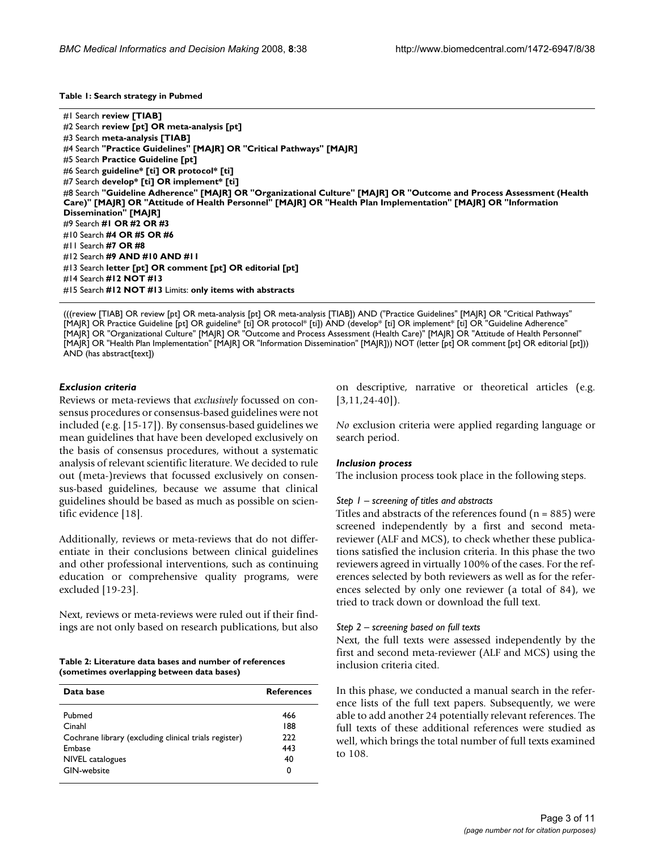**Table 1: Search strategy in Pubmed**

(((review [TIAB] OR review [pt] OR meta-analysis [pt] OR meta-analysis [TIAB]) AND ("Practice Guidelines" [MAJR] OR "Critical Pathways" [MAJR] OR Practice Guideline [pt] OR guideline\* [ti] OR protocol\* [ti]) AND (develop\* [ti] OR implement\* [ti] OR "Guideline Adherence" [MAJR] OR "Organizational Culture" [MAJR] OR "Outcome and Process Assessment (Health Care)" [MAJR] OR "Attitude of Health Personnel" [MAJR] OR "Health Plan Implementation" [MAJR] OR "Information Dissemination" [MAJR])) NOT (letter [pt] OR comment [pt] OR editorial [pt])) AND (has abstract[text])

#### *Exclusion criteria*

Reviews or meta-reviews that *exclusively* focussed on consensus procedures or consensus-based guidelines were not included (e.g. [15-17]). By consensus-based guidelines we mean guidelines that have been developed exclusively on the basis of consensus procedures, without a systematic analysis of relevant scientific literature. We decided to rule out (meta-)reviews that focussed exclusively on consensus-based guidelines, because we assume that clinical guidelines should be based as much as possible on scientific evidence [18].

Additionally, reviews or meta-reviews that do not differentiate in their conclusions between clinical guidelines and other professional interventions, such as continuing education or comprehensive quality programs, were excluded [19-23].

Next, reviews or meta-reviews were ruled out if their findings are not only based on research publications, but also

**Table 2: Literature data bases and number of references (sometimes overlapping between data bases)**

| Data base                                             | <b>References</b> |
|-------------------------------------------------------|-------------------|
| Pubmed                                                | 466               |
| Cinahl                                                | 188               |
| Cochrane library (excluding clinical trials register) | 222               |
| Embase                                                | 443               |
| NIVEL catalogues                                      | 40                |
| GIN-website                                           | 0                 |
|                                                       |                   |

on descriptive, narrative or theoretical articles (e.g. [3,11,24-40]).

*No* exclusion criteria were applied regarding language or search period.

# *Inclusion process*

The inclusion process took place in the following steps.

# *Step 1 – screening of titles and abstracts*

Titles and abstracts of the references found  $(n = 885)$  were screened independently by a first and second metareviewer (ALF and MCS), to check whether these publications satisfied the inclusion criteria. In this phase the two reviewers agreed in virtually 100% of the cases. For the references selected by both reviewers as well as for the references selected by only one reviewer (a total of 84), we tried to track down or download the full text.

# *Step 2 – screening based on full texts*

Next, the full texts were assessed independently by the first and second meta-reviewer (ALF and MCS) using the inclusion criteria cited.

In this phase, we conducted a manual search in the reference lists of the full text papers. Subsequently, we were able to add another 24 potentially relevant references. The full texts of these additional references were studied as well, which brings the total number of full texts examined to 108.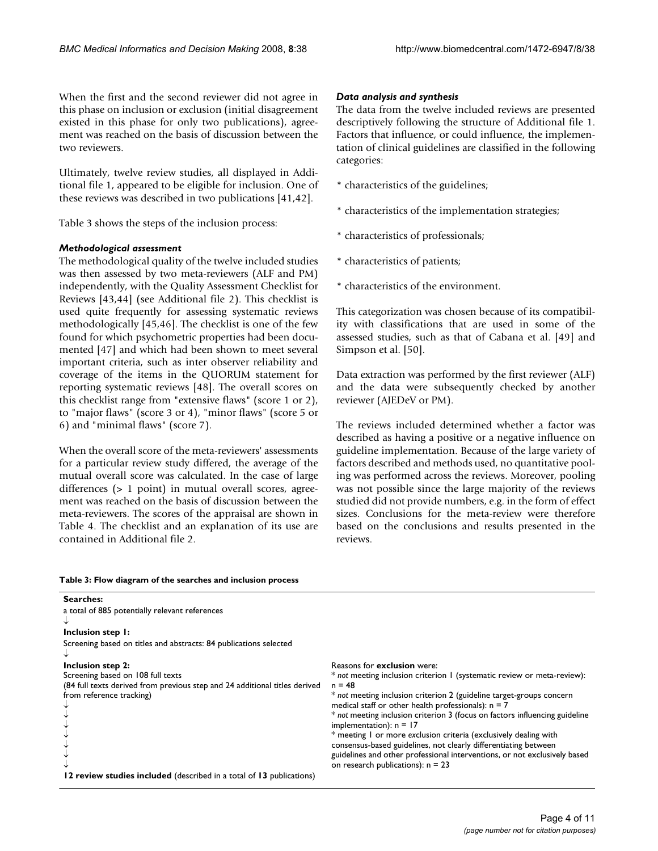When the first and the second reviewer did not agree in this phase on inclusion or exclusion (initial disagreement existed in this phase for only two publications), agreement was reached on the basis of discussion between the two reviewers.

Ultimately, twelve review studies, all displayed in Additional file 1, appeared to be eligible for inclusion. One of these reviews was described in two publications [41,42].

Table 3 shows the steps of the inclusion process:

#### *Methodological assessment*

The methodological quality of the twelve included studies was then assessed by two meta-reviewers (ALF and PM) independently, with the Quality Assessment Checklist for Reviews [43,44] (see Additional file 2). This checklist is used quite frequently for assessing systematic reviews methodologically [45,46]. The checklist is one of the few found for which psychometric properties had been documented [47] and which had been shown to meet several important criteria, such as inter observer reliability and coverage of the items in the QUORUM statement for reporting systematic reviews [48]. The overall scores on this checklist range from "extensive flaws" (score 1 or 2), to "major flaws" (score 3 or 4), "minor flaws" (score 5 or 6) and "minimal flaws" (score 7).

When the overall score of the meta-reviewers' assessments for a particular review study differed, the average of the mutual overall score was calculated. In the case of large differences (> 1 point) in mutual overall scores, agreement was reached on the basis of discussion between the meta-reviewers. The scores of the appraisal are shown in Table 4. The checklist and an explanation of its use are contained in Additional file 2.

#### *Data analysis and synthesis*

The data from the twelve included reviews are presented descriptively following the structure of Additional file 1. Factors that influence, or could influence, the implementation of clinical guidelines are classified in the following categories:

- \* characteristics of the guidelines;
- \* characteristics of the implementation strategies;
- \* characteristics of professionals;
- \* characteristics of patients;
- \* characteristics of the environment.

This categorization was chosen because of its compatibility with classifications that are used in some of the assessed studies, such as that of Cabana et al. [49] and Simpson et al. [50].

Data extraction was performed by the first reviewer (ALF) and the data were subsequently checked by another reviewer (AJEDeV or PM).

The reviews included determined whether a factor was described as having a positive or a negative influence on guideline implementation. Because of the large variety of factors described and methods used, no quantitative pooling was performed across the reviews. Moreover, pooling was not possible since the large majority of the reviews studied did not provide numbers, e.g. in the form of effect sizes. Conclusions for the meta-review were therefore based on the conclusions and results presented in the reviews.

#### **Table 3: Flow diagram of the searches and inclusion process**

| Searches:                                                                  |                                                                             |
|----------------------------------------------------------------------------|-----------------------------------------------------------------------------|
| a total of 885 potentially relevant references                             |                                                                             |
|                                                                            |                                                                             |
| Inclusion step 1:                                                          |                                                                             |
| Screening based on titles and abstracts: 84 publications selected          |                                                                             |
| Inclusion step 2:                                                          | Reasons for <b>exclusion</b> were:                                          |
| Screening based on 108 full texts                                          | * not meeting inclusion criterion I (systematic review or meta-review):     |
| (84 full texts derived from previous step and 24 additional titles derived | $n = 48$                                                                    |
| from reference tracking)                                                   | * not meeting inclusion criterion 2 (guideline target-groups concern        |
|                                                                            | medical staff or other health professionals): $n = 7$                       |
|                                                                            | * not meeting inclusion criterion 3 (focus on factors influencing guideline |
|                                                                            | implementation): $n = 17$                                                   |
|                                                                            | * meeting I or more exclusion criteria (exclusively dealing with            |
|                                                                            | consensus-based guidelines, not clearly differentiating between             |
|                                                                            | guidelines and other professional interventions, or not exclusively based   |
|                                                                            | on research publications): $n = 23$                                         |
| 12 review studies included (described in a total of 13 publications)       |                                                                             |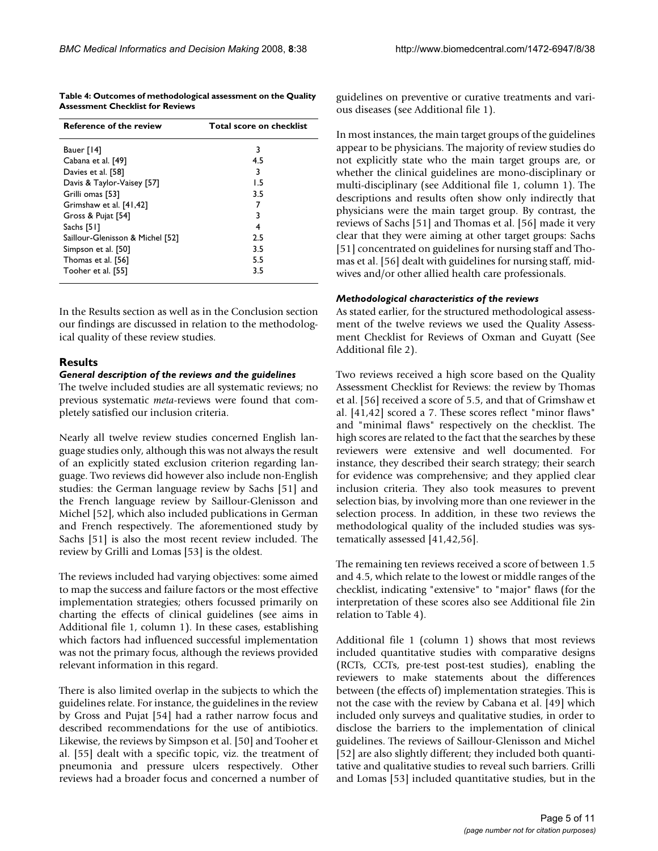**Table 4: Outcomes of methodological assessment on the Quality Assessment Checklist for Reviews**

| <b>Reference of the review</b>   | Total score on checklist |
|----------------------------------|--------------------------|
| Bauer [14]                       | 3                        |
| Cabana et al. [49]               | 4.5                      |
| Davies et al. [58]               | 3                        |
| Davis & Taylor-Vaisey [57]       | 1.5                      |
| Grilli omas [53]                 | 3.5                      |
| Grimshaw et al. [41,42]          | 7                        |
| Gross & Pujat [54]               | 3                        |
| Sachs [51]                       | 4                        |
| Saillour-Glenisson & Michel [52] | 2.5                      |
| Simpson et al. [50]              | 3.5                      |
| Thomas et al. [56]               | 5.5                      |
| Tooher et al. [55]               | 3.5                      |

In the Results section as well as in the Conclusion section our findings are discussed in relation to the methodological quality of these review studies.

# **Results**

# *General description of the reviews and the guidelines*

The twelve included studies are all systematic reviews; no previous systematic *meta*-reviews were found that completely satisfied our inclusion criteria.

Nearly all twelve review studies concerned English language studies only, although this was not always the result of an explicitly stated exclusion criterion regarding language. Two reviews did however also include non-English studies: the German language review by Sachs [51] and the French language review by Saillour-Glenisson and Michel [52], which also included publications in German and French respectively. The aforementioned study by Sachs [51] is also the most recent review included. The review by Grilli and Lomas [53] is the oldest.

The reviews included had varying objectives: some aimed to map the success and failure factors or the most effective implementation strategies; others focussed primarily on charting the effects of clinical guidelines (see aims in Additional file 1, column 1). In these cases, establishing which factors had influenced successful implementation was not the primary focus, although the reviews provided relevant information in this regard.

There is also limited overlap in the subjects to which the guidelines relate. For instance, the guidelines in the review by Gross and Pujat [54] had a rather narrow focus and described recommendations for the use of antibiotics. Likewise, the reviews by Simpson et al. [50] and Tooher et al. [55] dealt with a specific topic, viz. the treatment of pneumonia and pressure ulcers respectively. Other reviews had a broader focus and concerned a number of guidelines on preventive or curative treatments and various diseases (see Additional file 1).

In most instances, the main target groups of the guidelines appear to be physicians. The majority of review studies do not explicitly state who the main target groups are, or whether the clinical guidelines are mono-disciplinary or multi-disciplinary (see Additional file 1, column 1). The descriptions and results often show only indirectly that physicians were the main target group. By contrast, the reviews of Sachs [51] and Thomas et al. [56] made it very clear that they were aiming at other target groups: Sachs [51] concentrated on guidelines for nursing staff and Thomas et al. [56] dealt with guidelines for nursing staff, midwives and/or other allied health care professionals.

# *Methodological characteristics of the reviews*

As stated earlier, for the structured methodological assessment of the twelve reviews we used the Quality Assessment Checklist for Reviews of Oxman and Guyatt (See Additional file 2).

Two reviews received a high score based on the Quality Assessment Checklist for Reviews: the review by Thomas et al. [56] received a score of 5.5, and that of Grimshaw et al. [41,42] scored a 7. These scores reflect "minor flaws" and "minimal flaws" respectively on the checklist. The high scores are related to the fact that the searches by these reviewers were extensive and well documented. For instance, they described their search strategy; their search for evidence was comprehensive; and they applied clear inclusion criteria. They also took measures to prevent selection bias, by involving more than one reviewer in the selection process. In addition, in these two reviews the methodological quality of the included studies was systematically assessed [41,42,56].

The remaining ten reviews received a score of between 1.5 and 4.5, which relate to the lowest or middle ranges of the checklist, indicating "extensive" to "major" flaws (for the interpretation of these scores also see Additional file 2in relation to Table 4).

Additional file 1 (column 1) shows that most reviews included quantitative studies with comparative designs (RCTs, CCTs, pre-test post-test studies), enabling the reviewers to make statements about the differences between (the effects of) implementation strategies. This is not the case with the review by Cabana et al. [49] which included only surveys and qualitative studies, in order to disclose the barriers to the implementation of clinical guidelines. The reviews of Saillour-Glenisson and Michel [52] are also slightly different; they included both quantitative and qualitative studies to reveal such barriers. Grilli and Lomas [53] included quantitative studies, but in the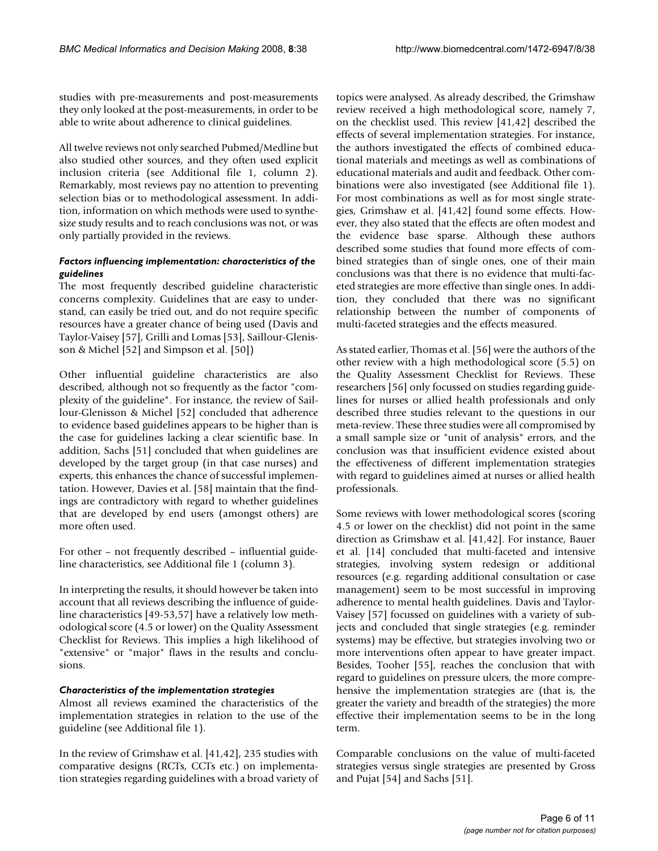studies with pre-measurements and post-measurements they only looked at the post-measurements, in order to be able to write about adherence to clinical guidelines.

All twelve reviews not only searched Pubmed/Medline but also studied other sources, and they often used explicit inclusion criteria (see Additional file 1, column 2). Remarkably, most reviews pay no attention to preventing selection bias or to methodological assessment. In addition, information on which methods were used to synthesize study results and to reach conclusions was not, or was only partially provided in the reviews.

# *Factors influencing implementation: characteristics of the guidelines*

The most frequently described guideline characteristic concerns complexity. Guidelines that are easy to understand, can easily be tried out, and do not require specific resources have a greater chance of being used (Davis and Taylor-Vaisey [57], Grilli and Lomas [53], Saillour-Glenisson & Michel [52] and Simpson et al. [50])

Other influential guideline characteristics are also described, although not so frequently as the factor "complexity of the guideline". For instance, the review of Saillour-Glenisson & Michel [52] concluded that adherence to evidence based guidelines appears to be higher than is the case for guidelines lacking a clear scientific base. In addition, Sachs [51] concluded that when guidelines are developed by the target group (in that case nurses) and experts, this enhances the chance of successful implementation. However, Davies et al. [58] maintain that the findings are contradictory with regard to whether guidelines that are developed by end users (amongst others) are more often used.

For other – not frequently described – influential guideline characteristics, see Additional file 1 (column 3).

In interpreting the results, it should however be taken into account that all reviews describing the influence of guideline characteristics [49-53,57] have a relatively low methodological score (4.5 or lower) on the Quality Assessment Checklist for Reviews. This implies a high likelihood of "extensive" or "major" flaws in the results and conclusions.

# *Characteristics of the implementation strategies*

Almost all reviews examined the characteristics of the implementation strategies in relation to the use of the guideline (see Additional file 1).

In the review of Grimshaw et al. [41,42], 235 studies with comparative designs (RCTs, CCTs etc.) on implementation strategies regarding guidelines with a broad variety of topics were analysed. As already described, the Grimshaw review received a high methodological score, namely 7, on the checklist used. This review [41,42] described the effects of several implementation strategies. For instance, the authors investigated the effects of combined educational materials and meetings as well as combinations of educational materials and audit and feedback. Other combinations were also investigated (see Additional file 1). For most combinations as well as for most single strategies, Grimshaw et al. [41,42] found some effects. However, they also stated that the effects are often modest and the evidence base sparse. Although these authors described some studies that found more effects of combined strategies than of single ones, one of their main conclusions was that there is no evidence that multi-faceted strategies are more effective than single ones. In addition, they concluded that there was no significant relationship between the number of components of multi-faceted strategies and the effects measured.

As stated earlier, Thomas et al. [56] were the authors of the other review with a high methodological score (5.5) on the Quality Assessment Checklist for Reviews. These researchers [56] only focussed on studies regarding guidelines for nurses or allied health professionals and only described three studies relevant to the questions in our meta-review. These three studies were all compromised by a small sample size or "unit of analysis" errors, and the conclusion was that insufficient evidence existed about the effectiveness of different implementation strategies with regard to guidelines aimed at nurses or allied health professionals.

Some reviews with lower methodological scores (scoring 4.5 or lower on the checklist) did not point in the same direction as Grimshaw et al. [41,42]. For instance, Bauer et al. [14] concluded that multi-faceted and intensive strategies, involving system redesign or additional resources (e.g. regarding additional consultation or case management) seem to be most successful in improving adherence to mental health guidelines. Davis and Taylor-Vaisey [57] focussed on guidelines with a variety of subjects and concluded that single strategies (e.g. reminder systems) may be effective, but strategies involving two or more interventions often appear to have greater impact. Besides, Tooher [55], reaches the conclusion that with regard to guidelines on pressure ulcers, the more comprehensive the implementation strategies are (that is, the greater the variety and breadth of the strategies) the more effective their implementation seems to be in the long term.

Comparable conclusions on the value of multi-faceted strategies versus single strategies are presented by Gross and Pujat [54] and Sachs [51].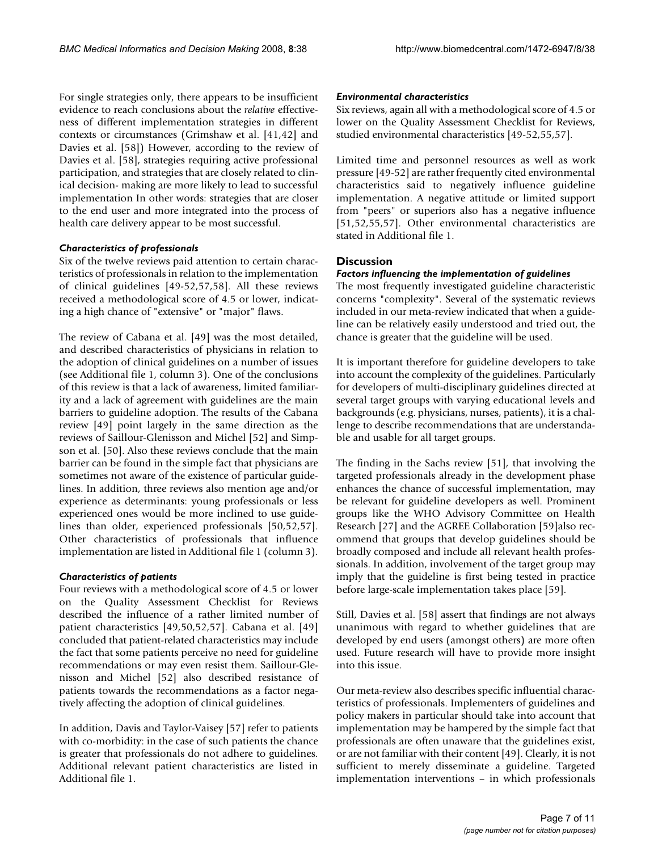For single strategies only, there appears to be insufficient evidence to reach conclusions about the *relative* effectiveness of different implementation strategies in different contexts or circumstances (Grimshaw et al. [41,42] and Davies et al. [58]) However, according to the review of Davies et al. [58], strategies requiring active professional participation, and strategies that are closely related to clinical decision- making are more likely to lead to successful implementation In other words: strategies that are closer to the end user and more integrated into the process of health care delivery appear to be most successful.

# *Characteristics of professionals*

Six of the twelve reviews paid attention to certain characteristics of professionals in relation to the implementation of clinical guidelines [49-52,57,58]. All these reviews received a methodological score of 4.5 or lower, indicating a high chance of "extensive" or "major" flaws.

The review of Cabana et al. [49] was the most detailed, and described characteristics of physicians in relation to the adoption of clinical guidelines on a number of issues (see Additional file 1, column 3). One of the conclusions of this review is that a lack of awareness, limited familiarity and a lack of agreement with guidelines are the main barriers to guideline adoption. The results of the Cabana review [49] point largely in the same direction as the reviews of Saillour-Glenisson and Michel [52] and Simpson et al. [50]. Also these reviews conclude that the main barrier can be found in the simple fact that physicians are sometimes not aware of the existence of particular guidelines. In addition, three reviews also mention age and/or experience as determinants: young professionals or less experienced ones would be more inclined to use guidelines than older, experienced professionals [50,52,57]. Other characteristics of professionals that influence implementation are listed in Additional file 1 (column 3).

# *Characteristics of patients*

Four reviews with a methodological score of 4.5 or lower on the Quality Assessment Checklist for Reviews described the influence of a rather limited number of patient characteristics [49,50,52,57]. Cabana et al. [49] concluded that patient-related characteristics may include the fact that some patients perceive no need for guideline recommendations or may even resist them. Saillour-Glenisson and Michel [52] also described resistance of patients towards the recommendations as a factor negatively affecting the adoption of clinical guidelines.

In addition, Davis and Taylor-Vaisey [57] refer to patients with co-morbidity: in the case of such patients the chance is greater that professionals do not adhere to guidelines. Additional relevant patient characteristics are listed in Additional file 1.

# *Environmental characteristics*

Six reviews, again all with a methodological score of 4.5 or lower on the Quality Assessment Checklist for Reviews, studied environmental characteristics [49-52,55,57].

Limited time and personnel resources as well as work pressure [49-52] are rather frequently cited environmental characteristics said to negatively influence guideline implementation. A negative attitude or limited support from "peers" or superiors also has a negative influence [51,52,55,57]. Other environmental characteristics are stated in Additional file 1.

# **Discussion**

# *Factors influencing the implementation of guidelines*

The most frequently investigated guideline characteristic concerns "complexity". Several of the systematic reviews included in our meta-review indicated that when a guideline can be relatively easily understood and tried out, the chance is greater that the guideline will be used.

It is important therefore for guideline developers to take into account the complexity of the guidelines. Particularly for developers of multi-disciplinary guidelines directed at several target groups with varying educational levels and backgrounds (e.g. physicians, nurses, patients), it is a challenge to describe recommendations that are understandable and usable for all target groups.

The finding in the Sachs review [51], that involving the targeted professionals already in the development phase enhances the chance of successful implementation, may be relevant for guideline developers as well. Prominent groups like the WHO Advisory Committee on Health Research [27] and the AGREE Collaboration [59]also recommend that groups that develop guidelines should be broadly composed and include all relevant health professionals. In addition, involvement of the target group may imply that the guideline is first being tested in practice before large-scale implementation takes place [59].

Still, Davies et al. [58] assert that findings are not always unanimous with regard to whether guidelines that are developed by end users (amongst others) are more often used. Future research will have to provide more insight into this issue.

Our meta-review also describes specific influential characteristics of professionals. Implementers of guidelines and policy makers in particular should take into account that implementation may be hampered by the simple fact that professionals are often unaware that the guidelines exist, or are not familiar with their content [49]. Clearly, it is not sufficient to merely disseminate a guideline. Targeted implementation interventions – in which professionals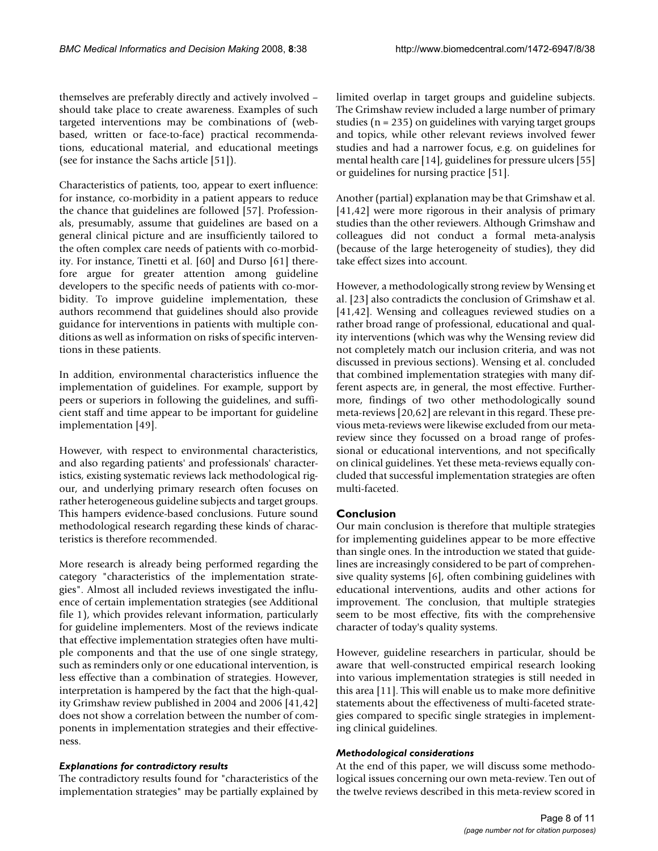themselves are preferably directly and actively involved – should take place to create awareness. Examples of such targeted interventions may be combinations of (webbased, written or face-to-face) practical recommendations, educational material, and educational meetings (see for instance the Sachs article [51]).

Characteristics of patients, too, appear to exert influence: for instance, co-morbidity in a patient appears to reduce the chance that guidelines are followed [57]. Professionals, presumably, assume that guidelines are based on a general clinical picture and are insufficiently tailored to the often complex care needs of patients with co-morbidity. For instance, Tinetti et al. [60] and Durso [61] therefore argue for greater attention among guideline developers to the specific needs of patients with co-morbidity. To improve guideline implementation, these authors recommend that guidelines should also provide guidance for interventions in patients with multiple conditions as well as information on risks of specific interventions in these patients.

In addition, environmental characteristics influence the implementation of guidelines. For example, support by peers or superiors in following the guidelines, and sufficient staff and time appear to be important for guideline implementation [49].

However, with respect to environmental characteristics, and also regarding patients' and professionals' characteristics, existing systematic reviews lack methodological rigour, and underlying primary research often focuses on rather heterogeneous guideline subjects and target groups. This hampers evidence-based conclusions. Future sound methodological research regarding these kinds of characteristics is therefore recommended.

More research is already being performed regarding the category "characteristics of the implementation strategies". Almost all included reviews investigated the influence of certain implementation strategies (see Additional file 1), which provides relevant information, particularly for guideline implementers. Most of the reviews indicate that effective implementation strategies often have multiple components and that the use of one single strategy, such as reminders only or one educational intervention, is less effective than a combination of strategies. However, interpretation is hampered by the fact that the high-quality Grimshaw review published in 2004 and 2006 [41,42] does not show a correlation between the number of components in implementation strategies and their effectiveness.

# *Explanations for contradictory results*

The contradictory results found for "characteristics of the implementation strategies" may be partially explained by limited overlap in target groups and guideline subjects. The Grimshaw review included a large number of primary studies ( $n = 235$ ) on guidelines with varying target groups and topics, while other relevant reviews involved fewer studies and had a narrower focus, e.g. on guidelines for mental health care [14], guidelines for pressure ulcers [55] or guidelines for nursing practice [51].

Another (partial) explanation may be that Grimshaw et al. [41,42] were more rigorous in their analysis of primary studies than the other reviewers. Although Grimshaw and colleagues did not conduct a formal meta-analysis (because of the large heterogeneity of studies), they did take effect sizes into account.

However, a methodologically strong review by Wensing et al. [23] also contradicts the conclusion of Grimshaw et al. [41,42]. Wensing and colleagues reviewed studies on a rather broad range of professional, educational and quality interventions (which was why the Wensing review did not completely match our inclusion criteria, and was not discussed in previous sections). Wensing et al. concluded that combined implementation strategies with many different aspects are, in general, the most effective. Furthermore, findings of two other methodologically sound meta-reviews [20,62] are relevant in this regard. These previous meta-reviews were likewise excluded from our metareview since they focussed on a broad range of professional or educational interventions, and not specifically on clinical guidelines. Yet these meta-reviews equally concluded that successful implementation strategies are often multi-faceted.

# **Conclusion**

Our main conclusion is therefore that multiple strategies for implementing guidelines appear to be more effective than single ones. In the introduction we stated that guidelines are increasingly considered to be part of comprehensive quality systems [6], often combining guidelines with educational interventions, audits and other actions for improvement. The conclusion, that multiple strategies seem to be most effective, fits with the comprehensive character of today's quality systems.

However, guideline researchers in particular, should be aware that well-constructed empirical research looking into various implementation strategies is still needed in this area [11]. This will enable us to make more definitive statements about the effectiveness of multi-faceted strategies compared to specific single strategies in implementing clinical guidelines.

# *Methodological considerations*

At the end of this paper, we will discuss some methodological issues concerning our own meta-review. Ten out of the twelve reviews described in this meta-review scored in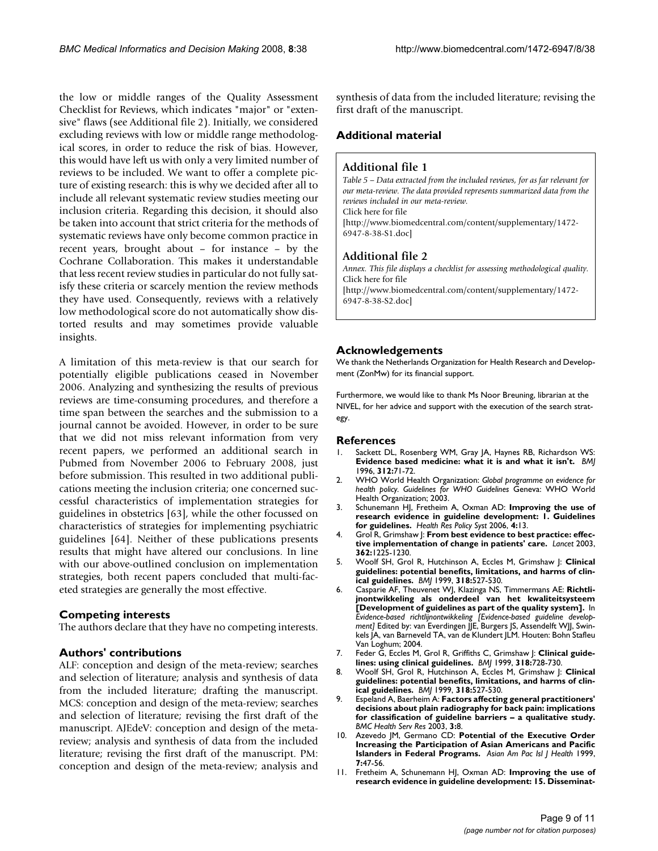the low or middle ranges of the Quality Assessment Checklist for Reviews, which indicates "major" or "extensive" flaws (see Additional file 2). Initially, we considered excluding reviews with low or middle range methodological scores, in order to reduce the risk of bias. However, this would have left us with only a very limited number of reviews to be included. We want to offer a complete picture of existing research: this is why we decided after all to include all relevant systematic review studies meeting our inclusion criteria. Regarding this decision, it should also be taken into account that strict criteria for the methods of systematic reviews have only become common practice in recent years, brought about – for instance – by the Cochrane Collaboration. This makes it understandable that less recent review studies in particular do not fully satisfy these criteria or scarcely mention the review methods they have used. Consequently, reviews with a relatively low methodological score do not automatically show distorted results and may sometimes provide valuable insights.

A limitation of this meta-review is that our search for potentially eligible publications ceased in November 2006. Analyzing and synthesizing the results of previous reviews are time-consuming procedures, and therefore a time span between the searches and the submission to a journal cannot be avoided. However, in order to be sure that we did not miss relevant information from very recent papers, we performed an additional search in Pubmed from November 2006 to February 2008, just before submission. This resulted in two additional publications meeting the inclusion criteria; one concerned successful characteristics of implementation strategies for guidelines in obstetrics [63], while the other focussed on characteristics of strategies for implementing psychiatric guidelines [64]. Neither of these publications presents results that might have altered our conclusions. In line with our above-outlined conclusion on implementation strategies, both recent papers concluded that multi-faceted strategies are generally the most effective.

# **Competing interests**

The authors declare that they have no competing interests.

# **Authors' contributions**

ALF: conception and design of the meta-review; searches and selection of literature; analysis and synthesis of data from the included literature; drafting the manuscript. MCS: conception and design of the meta-review; searches and selection of literature; revising the first draft of the manuscript. AJEdeV: conception and design of the metareview; analysis and synthesis of data from the included literature; revising the first draft of the manuscript. PM: conception and design of the meta-review; analysis and synthesis of data from the included literature; revising the first draft of the manuscript.

# **Additional material**

#### **Additional file 1**

*Table 5 – Data extracted from the included reviews, for as far relevant for our meta-review. The data provided represents summarized data from the reviews included in our meta-review.* Click here for file

[\[http://www.biomedcentral.com/content/supplementary/1472-](http://www.biomedcentral.com/content/supplementary/1472-6947-8-38-S1.doc) 6947-8-38-S1.doc]

# **Additional file 2**

*Annex. This file displays a checklist for assessing methodological quality.* Click here for file [\[http://www.biomedcentral.com/content/supplementary/1472-](http://www.biomedcentral.com/content/supplementary/1472-6947-8-38-S2.doc) 6947-8-38-S2.doc]

# **Acknowledgements**

We thank the Netherlands Organization for Health Research and Development (ZonMw) for its financial support.

Furthermore, we would like to thank Ms Noor Breuning, librarian at the NIVEL, for her advice and support with the execution of the search strategy.

#### **References**

- Sackett DL, Rosenberg WM, Gray JA, Haynes RB, Richardson WS: **[Evidence based medicine: what it is and what it isn't.](http://www.ncbi.nlm.nih.gov/entrez/query.fcgi?cmd=Retrieve&db=PubMed&dopt=Abstract&list_uids=8555924)** *BMJ* 1996, **312:**71-72.
- 2. WHO World Health Organization: *Global programme on evidence for health policy. Guidelines for WHO Guidelines* Geneva: WHO World Health Organization; 2003.
- 3. Schunemann HJ, Fretheim A, Oxman AD: **[Improving the use of](http://www.ncbi.nlm.nih.gov/entrez/query.fcgi?cmd=Retrieve&db=PubMed&dopt=Abstract&list_uids=17118181) [research evidence in guideline development: 1. Guidelines](http://www.ncbi.nlm.nih.gov/entrez/query.fcgi?cmd=Retrieve&db=PubMed&dopt=Abstract&list_uids=17118181) [for guidelines.](http://www.ncbi.nlm.nih.gov/entrez/query.fcgi?cmd=Retrieve&db=PubMed&dopt=Abstract&list_uids=17118181)** *Health Res Policy Syst* 2006, **4:**13.
- 4. Grol R, Grimshaw J: **[From best evidence to best practice: effec](http://www.ncbi.nlm.nih.gov/entrez/query.fcgi?cmd=Retrieve&db=PubMed&dopt=Abstract&list_uids=14568747)[tive implementation of change in patients' care.](http://www.ncbi.nlm.nih.gov/entrez/query.fcgi?cmd=Retrieve&db=PubMed&dopt=Abstract&list_uids=14568747)** *Lancet* 2003, **362:**1225-1230.
- 5. Woolf SH, Grol R, Hutchinson A, Eccles M, Grimshaw J: **[Clinical](http://www.ncbi.nlm.nih.gov/entrez/query.fcgi?cmd=Retrieve&db=PubMed&dopt=Abstract&list_uids=10024268) [guidelines: potential benefits, limitations, and harms of clin](http://www.ncbi.nlm.nih.gov/entrez/query.fcgi?cmd=Retrieve&db=PubMed&dopt=Abstract&list_uids=10024268)[ical guidelines.](http://www.ncbi.nlm.nih.gov/entrez/query.fcgi?cmd=Retrieve&db=PubMed&dopt=Abstract&list_uids=10024268)** *BMJ* 1999, **318:**527-530.
- 6. Casparie AF, Theuvenet WJ, Klazinga NS, Timmermans AE: **Richtlijnontwikkeling als onderdeel van het kwaliteitsysteem [Development of guidelines as part of the quality system].** In *Evidence-based richtlijnontwikkeling [Evidence-based guideline development]* Edited by: van Everdingen JJE, Burgers JS, Assendelft WJJ, Swinkels JA, van Barneveld TA, van de Klundert JLM. Houten: Bohn Stafleu Van Loghum; 2004.
- 7. Feder G, Eccles M, Grol R, Griffiths C, Grimshaw J: **[Clinical guide](http://www.ncbi.nlm.nih.gov/entrez/query.fcgi?cmd=Retrieve&db=PubMed&dopt=Abstract&list_uids=10074024)[lines: using clinical guidelines.](http://www.ncbi.nlm.nih.gov/entrez/query.fcgi?cmd=Retrieve&db=PubMed&dopt=Abstract&list_uids=10074024)** *BMJ* 1999, **318:**728-730.
- 8. Woolf SH, Grol R, Hutchinson A, Eccles M, Grimshaw J: **[Clinical](http://www.ncbi.nlm.nih.gov/entrez/query.fcgi?cmd=Retrieve&db=PubMed&dopt=Abstract&list_uids=10024268) [guidelines: potential benefits, limitations, and harms of clin](http://www.ncbi.nlm.nih.gov/entrez/query.fcgi?cmd=Retrieve&db=PubMed&dopt=Abstract&list_uids=10024268)[ical guidelines.](http://www.ncbi.nlm.nih.gov/entrez/query.fcgi?cmd=Retrieve&db=PubMed&dopt=Abstract&list_uids=10024268)** *BMJ* 1999, **318:**527-530.
- 9. Espeland A, Baerheim A: **[Factors affecting general practitioners'](http://www.ncbi.nlm.nih.gov/entrez/query.fcgi?cmd=Retrieve&db=PubMed&dopt=Abstract&list_uids=12659640) [decisions about plain radiography for back pain: implications](http://www.ncbi.nlm.nih.gov/entrez/query.fcgi?cmd=Retrieve&db=PubMed&dopt=Abstract&list_uids=12659640) for classification of guideline barriers – a qualitative study.** *BMC Health Serv Res* 2003, **3:**8.
- 10. Azevedo JM, Germano CD: **[Potential of the Executive Order](http://www.ncbi.nlm.nih.gov/entrez/query.fcgi?cmd=Retrieve&db=PubMed&dopt=Abstract&list_uids=11567481) [Increasing the Participation of Asian Americans and Pacific](http://www.ncbi.nlm.nih.gov/entrez/query.fcgi?cmd=Retrieve&db=PubMed&dopt=Abstract&list_uids=11567481) [Islanders in Federal Programs.](http://www.ncbi.nlm.nih.gov/entrez/query.fcgi?cmd=Retrieve&db=PubMed&dopt=Abstract&list_uids=11567481)** *Asian Am Pac Isl J Health* 1999, **7:**47-56.
- 11. Fretheim A, Schunemann HJ, Oxman AD: **[Improving the use of](http://www.ncbi.nlm.nih.gov/entrez/query.fcgi?cmd=Retrieve&db=PubMed&dopt=Abstract&list_uids=17156459) [research evidence in guideline development: 15. Disseminat](http://www.ncbi.nlm.nih.gov/entrez/query.fcgi?cmd=Retrieve&db=PubMed&dopt=Abstract&list_uids=17156459)-**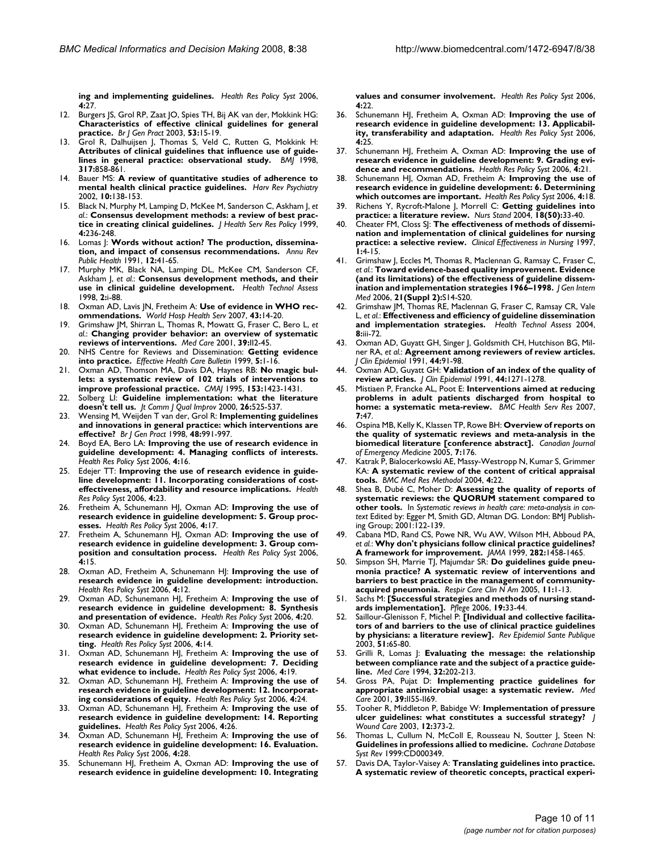**[ing and implementing guidelines.](http://www.ncbi.nlm.nih.gov/entrez/query.fcgi?cmd=Retrieve&db=PubMed&dopt=Abstract&list_uids=17156459)** *Health Res Policy Syst* 2006, **4:**27.

- 12. Burgers JS, Grol RP, Zaat JO, Spies TH, Bij AK van der, Mokkink HG: **[Characteristics of effective clinical guidelines for general](http://www.ncbi.nlm.nih.gov/entrez/query.fcgi?cmd=Retrieve&db=PubMed&dopt=Abstract&list_uids=12569898) [practice.](http://www.ncbi.nlm.nih.gov/entrez/query.fcgi?cmd=Retrieve&db=PubMed&dopt=Abstract&list_uids=12569898)** *Br J Gen Pract* 2003, **53:**15-19.
- 13. Grol R, Dalhuijsen J, Thomas S, Veld C, Rutten G, Mokkink H: **[Attributes of clinical guidelines that influence use of guide](http://www.ncbi.nlm.nih.gov/entrez/query.fcgi?cmd=Retrieve&db=PubMed&dopt=Abstract&list_uids=9748183)[lines in general practice: observational study.](http://www.ncbi.nlm.nih.gov/entrez/query.fcgi?cmd=Retrieve&db=PubMed&dopt=Abstract&list_uids=9748183)** *BMJ* 1998, **317:**858-861.
- 14. Bauer MS: **[A review of quantitative studies of adherence to](http://www.ncbi.nlm.nih.gov/entrez/query.fcgi?cmd=Retrieve&db=PubMed&dopt=Abstract&list_uids=12023929) [mental health clinical practice guidelines.](http://www.ncbi.nlm.nih.gov/entrez/query.fcgi?cmd=Retrieve&db=PubMed&dopt=Abstract&list_uids=12023929)** *Harv Rev Psychiatry* 2002, **10:**138-153.
- 15. Black N, Murphy M, Lamping D, McKee M, Sanderson C, Askham J, *et al.*: **[Consensus development methods: a review of best prac](http://www.ncbi.nlm.nih.gov/entrez/query.fcgi?cmd=Retrieve&db=PubMed&dopt=Abstract&list_uids=10623041)[tice in creating clinical guidelines.](http://www.ncbi.nlm.nih.gov/entrez/query.fcgi?cmd=Retrieve&db=PubMed&dopt=Abstract&list_uids=10623041)** *J Health Serv Res Policy* 1999, **4:**236-248.
- Lomas  $\vert$ : [Words without action? The production, dissemina](http://www.ncbi.nlm.nih.gov/entrez/query.fcgi?cmd=Retrieve&db=PubMed&dopt=Abstract&list_uids=2049143)**[tion, and impact of consensus recommendations.](http://www.ncbi.nlm.nih.gov/entrez/query.fcgi?cmd=Retrieve&db=PubMed&dopt=Abstract&list_uids=2049143)** *Annu Rev Public Health* 1991, **12:**41-65.
- 17. Murphy MK, Black NA, Lamping DL, McKee CM, Sanderson CF, Askham J, *et al.*: **[Consensus development methods, and their](http://www.ncbi.nlm.nih.gov/entrez/query.fcgi?cmd=Retrieve&db=PubMed&dopt=Abstract&list_uids=9561895) [use in clinical guideline development.](http://www.ncbi.nlm.nih.gov/entrez/query.fcgi?cmd=Retrieve&db=PubMed&dopt=Abstract&list_uids=9561895)** *Health Technol Assess* 1998, **2:**i-88.
- 18. Oxman AD, Lavis JN, Fretheim A: **[Use of evidence in WHO rec](http://www.ncbi.nlm.nih.gov/entrez/query.fcgi?cmd=Retrieve&db=PubMed&dopt=Abstract&list_uids=17894189)[ommendations.](http://www.ncbi.nlm.nih.gov/entrez/query.fcgi?cmd=Retrieve&db=PubMed&dopt=Abstract&list_uids=17894189)** *World Hosp Health Serv* 2007, **43:**14-20.
- 19. Grimshaw JM, Shirran L, Thomas R, Mowatt G, Fraser C, Bero L, *et al.*: **[Changing provider behavior: an overview of systematic](http://www.ncbi.nlm.nih.gov/entrez/query.fcgi?cmd=Retrieve&db=PubMed&dopt=Abstract&list_uids=11583120) [reviews of interventions.](http://www.ncbi.nlm.nih.gov/entrez/query.fcgi?cmd=Retrieve&db=PubMed&dopt=Abstract&list_uids=11583120)** *Med Care* 2001, **39:**II2-45.
- 20. NHS Centre for Reviews and Dissemination: **Getting evidence into practice.** *Effective Health Care Bulletin* 1999, **5:**1-16.
- 21. Oxman AD, Thomson MA, Davis DA, Haynes RB: **[No magic bul](http://www.ncbi.nlm.nih.gov/entrez/query.fcgi?cmd=Retrieve&db=PubMed&dopt=Abstract&list_uids=7585368)[lets: a systematic review of 102 trials of interventions to](http://www.ncbi.nlm.nih.gov/entrez/query.fcgi?cmd=Retrieve&db=PubMed&dopt=Abstract&list_uids=7585368) [improve professional practice.](http://www.ncbi.nlm.nih.gov/entrez/query.fcgi?cmd=Retrieve&db=PubMed&dopt=Abstract&list_uids=7585368)** *CMAJ* 1995, **153:**1423-1431.
- 22. Solberg LI: **[Guideline implementation: what the literature](http://www.ncbi.nlm.nih.gov/entrez/query.fcgi?cmd=Retrieve&db=PubMed&dopt=Abstract&list_uids=10983293) [doesn't tell us.](http://www.ncbi.nlm.nih.gov/entrez/query.fcgi?cmd=Retrieve&db=PubMed&dopt=Abstract&list_uids=10983293)** *Jt Comm J Qual Improv* 2000, **26:**525-537.
- 23. Wensing M, Weijden T van der, Grol R: **[Implementing guidelines](http://www.ncbi.nlm.nih.gov/entrez/query.fcgi?cmd=Retrieve&db=PubMed&dopt=Abstract&list_uids=9624774) [and innovations in general practice: which interventions are](http://www.ncbi.nlm.nih.gov/entrez/query.fcgi?cmd=Retrieve&db=PubMed&dopt=Abstract&list_uids=9624774) [effective?](http://www.ncbi.nlm.nih.gov/entrez/query.fcgi?cmd=Retrieve&db=PubMed&dopt=Abstract&list_uids=9624774)** *Br J Gen Pract* 1998, **48:**991-997.
- 24. Boyd EA, Bero LA: **[Improving the use of research evidence in](http://www.ncbi.nlm.nih.gov/entrez/query.fcgi?cmd=Retrieve&db=PubMed&dopt=Abstract&list_uids=17140441) [guideline development: 4. Managing conflicts of interests.](http://www.ncbi.nlm.nih.gov/entrez/query.fcgi?cmd=Retrieve&db=PubMed&dopt=Abstract&list_uids=17140441)** *Health Res Policy Syst* 2006, **4:**16.
- 25. Edejer TT: **[Improving the use of research evidence in guide](http://www.ncbi.nlm.nih.gov/entrez/query.fcgi?cmd=Retrieve&db=PubMed&dopt=Abstract&list_uids=17147813)[line development: 11. Incorporating considerations of cost](http://www.ncbi.nlm.nih.gov/entrez/query.fcgi?cmd=Retrieve&db=PubMed&dopt=Abstract&list_uids=17147813)[effectiveness, affordability and resource implications.](http://www.ncbi.nlm.nih.gov/entrez/query.fcgi?cmd=Retrieve&db=PubMed&dopt=Abstract&list_uids=17147813)** *Health Res Policy Syst* 2006, **4:**23.
- 26. Fretheim A, Schunemann HJ, Oxman AD: **[Improving the use of](http://www.ncbi.nlm.nih.gov/entrez/query.fcgi?cmd=Retrieve&db=PubMed&dopt=Abstract&list_uids=17140442) [research evidence in guideline development: 5. Group proc](http://www.ncbi.nlm.nih.gov/entrez/query.fcgi?cmd=Retrieve&db=PubMed&dopt=Abstract&list_uids=17140442)[esses.](http://www.ncbi.nlm.nih.gov/entrez/query.fcgi?cmd=Retrieve&db=PubMed&dopt=Abstract&list_uids=17140442)** *Health Res Policy Syst* 2006, **4:**17.
- 27. Fretheim A, Schunemann HJ, Oxman AD: **[Improving the use of](http://www.ncbi.nlm.nih.gov/entrez/query.fcgi?cmd=Retrieve&db=PubMed&dopt=Abstract&list_uids=17134482) [research evidence in guideline development: 3. Group com](http://www.ncbi.nlm.nih.gov/entrez/query.fcgi?cmd=Retrieve&db=PubMed&dopt=Abstract&list_uids=17134482)[position and consultation process.](http://www.ncbi.nlm.nih.gov/entrez/query.fcgi?cmd=Retrieve&db=PubMed&dopt=Abstract&list_uids=17134482)** *Health Res Policy Syst* 2006, **4:**15.
- 28. Oxman AD, Fretheim A, Schunemann HJ: **[Improving the use of](http://www.ncbi.nlm.nih.gov/entrez/query.fcgi?cmd=Retrieve&db=PubMed&dopt=Abstract&list_uids=17116254) [research evidence in guideline development: introduction.](http://www.ncbi.nlm.nih.gov/entrez/query.fcgi?cmd=Retrieve&db=PubMed&dopt=Abstract&list_uids=17116254)** *Health Res Policy Syst* 2006, **4:**12.
- 29. Oxman AD, Schunemann HJ, Fretheim A: **[Improving the use of](http://www.ncbi.nlm.nih.gov/entrez/query.fcgi?cmd=Retrieve&db=PubMed&dopt=Abstract&list_uids=17147809) [research evidence in guideline development: 8. Synthesis](http://www.ncbi.nlm.nih.gov/entrez/query.fcgi?cmd=Retrieve&db=PubMed&dopt=Abstract&list_uids=17147809) [and presentation of evidence.](http://www.ncbi.nlm.nih.gov/entrez/query.fcgi?cmd=Retrieve&db=PubMed&dopt=Abstract&list_uids=17147809)** *Health Res Policy Syst* 2006, **4:**20.
- 30. Oxman AD, Schunemann HJ, Fretheim A: **[Improving the use of](http://www.ncbi.nlm.nih.gov/entrez/query.fcgi?cmd=Retrieve&db=PubMed&dopt=Abstract&list_uids=17134481) [research evidence in guideline development: 2. Priority set](http://www.ncbi.nlm.nih.gov/entrez/query.fcgi?cmd=Retrieve&db=PubMed&dopt=Abstract&list_uids=17134481)[ting.](http://www.ncbi.nlm.nih.gov/entrez/query.fcgi?cmd=Retrieve&db=PubMed&dopt=Abstract&list_uids=17134481)** *Health Res Policy Syst* 2006, **4:**14.
- 31. Oxman AD, Schunemann HJ, Fretheim A: **[Improving the use of](http://www.ncbi.nlm.nih.gov/entrez/query.fcgi?cmd=Retrieve&db=PubMed&dopt=Abstract&list_uids=17140445) [research evidence in guideline development: 7. Deciding](http://www.ncbi.nlm.nih.gov/entrez/query.fcgi?cmd=Retrieve&db=PubMed&dopt=Abstract&list_uids=17140445) [what evidence to include.](http://www.ncbi.nlm.nih.gov/entrez/query.fcgi?cmd=Retrieve&db=PubMed&dopt=Abstract&list_uids=17140445)** *Health Res Policy Syst* 2006, **4:**19.
- 32. Oxman AD, Schunemann HJ, Fretheim A: **[Improving the use of](http://www.ncbi.nlm.nih.gov/entrez/query.fcgi?cmd=Retrieve&db=PubMed&dopt=Abstract&list_uids=17147814) [research evidence in guideline development: 12. Incorporat](http://www.ncbi.nlm.nih.gov/entrez/query.fcgi?cmd=Retrieve&db=PubMed&dopt=Abstract&list_uids=17147814)[ing considerations of equity.](http://www.ncbi.nlm.nih.gov/entrez/query.fcgi?cmd=Retrieve&db=PubMed&dopt=Abstract&list_uids=17147814)** *Health Res Policy Syst* 2006, **4:**24.
- 33. Oxman AD, Schunemann HJ, Fretheim A: **[Improving the use of](http://www.ncbi.nlm.nih.gov/entrez/query.fcgi?cmd=Retrieve&db=PubMed&dopt=Abstract&list_uids=17156458) [research evidence in guideline development: 14. Reporting](http://www.ncbi.nlm.nih.gov/entrez/query.fcgi?cmd=Retrieve&db=PubMed&dopt=Abstract&list_uids=17156458) [guidelines.](http://www.ncbi.nlm.nih.gov/entrez/query.fcgi?cmd=Retrieve&db=PubMed&dopt=Abstract&list_uids=17156458)** *Health Res Policy Syst* 2006, **4:**26.
- 34. Oxman AD, Schunemann HJ, Fretheim A: **[Improving the use of](http://www.ncbi.nlm.nih.gov/entrez/query.fcgi?cmd=Retrieve&db=PubMed&dopt=Abstract&list_uids=17156460) [research evidence in guideline development: 16. Evaluation.](http://www.ncbi.nlm.nih.gov/entrez/query.fcgi?cmd=Retrieve&db=PubMed&dopt=Abstract&list_uids=17156460)** *Health Res Policy Syst* 2006, **4:**28.
- 35. Schunemann HJ, Fretheim A, Oxman AD: **[Improving the use of](http://www.ncbi.nlm.nih.gov/entrez/query.fcgi?cmd=Retrieve&db=PubMed&dopt=Abstract&list_uids=17147811) [research evidence in guideline development: 10. Integrating](http://www.ncbi.nlm.nih.gov/entrez/query.fcgi?cmd=Retrieve&db=PubMed&dopt=Abstract&list_uids=17147811)**

**[values and consumer involvement.](http://www.ncbi.nlm.nih.gov/entrez/query.fcgi?cmd=Retrieve&db=PubMed&dopt=Abstract&list_uids=17147811)** *Health Res Policy Syst* 2006, **4:**22.

- 36. Schunemann HJ, Fretheim A, Oxman AD: **[Improving the use of](http://www.ncbi.nlm.nih.gov/entrez/query.fcgi?cmd=Retrieve&db=PubMed&dopt=Abstract&list_uids=17156457) [research evidence in guideline development: 13. Applicabil](http://www.ncbi.nlm.nih.gov/entrez/query.fcgi?cmd=Retrieve&db=PubMed&dopt=Abstract&list_uids=17156457)[ity, transferability and adaptation.](http://www.ncbi.nlm.nih.gov/entrez/query.fcgi?cmd=Retrieve&db=PubMed&dopt=Abstract&list_uids=17156457)** *Health Res Policy Syst* 2006, **4:**25.
- 37. Schunemann HJ, Fretheim A, Oxman AD: **[Improving the use of](http://www.ncbi.nlm.nih.gov/entrez/query.fcgi?cmd=Retrieve&db=PubMed&dopt=Abstract&list_uids=17147810) [research evidence in guideline development: 9. Grading evi](http://www.ncbi.nlm.nih.gov/entrez/query.fcgi?cmd=Retrieve&db=PubMed&dopt=Abstract&list_uids=17147810)[dence and recommendations.](http://www.ncbi.nlm.nih.gov/entrez/query.fcgi?cmd=Retrieve&db=PubMed&dopt=Abstract&list_uids=17147810)** *Health Res Policy Syst* 2006, **4:**21.
- 38. Schunemann HJ, Oxman AD, Fretheim A: **[Improving the use of](http://www.ncbi.nlm.nih.gov/entrez/query.fcgi?cmd=Retrieve&db=PubMed&dopt=Abstract&list_uids=17140444) [research evidence in guideline development: 6. Determining](http://www.ncbi.nlm.nih.gov/entrez/query.fcgi?cmd=Retrieve&db=PubMed&dopt=Abstract&list_uids=17140444) [which outcomes are important.](http://www.ncbi.nlm.nih.gov/entrez/query.fcgi?cmd=Retrieve&db=PubMed&dopt=Abstract&list_uids=17140444)** *Health Res Policy Syst* 2006, **4:**18.
- 39. Richens Y, Rycroft-Malone J, Morrell C: **[Getting guidelines into](http://www.ncbi.nlm.nih.gov/entrez/query.fcgi?cmd=Retrieve&db=PubMed&dopt=Abstract&list_uids=15384305) [practice: a literature review.](http://www.ncbi.nlm.nih.gov/entrez/query.fcgi?cmd=Retrieve&db=PubMed&dopt=Abstract&list_uids=15384305)** *Nurs Stand* 2004, **18(50):**33-40.
- 40. Cheater FM, Closs SJ: **The effectiveness of methods of dissemination and implementation of clinical guidelines for nursing practice: a selective review.** *Clinical Effectiveness in Nursing* 1997, **1:**4-15.
- 41. Grimshaw J, Eccles M, Thomas R, Maclennan G, Ramsay C, Fraser C, *et al.*: **[Toward evidence-based quality improvement. Evidence](http://www.ncbi.nlm.nih.gov/entrez/query.fcgi?cmd=Retrieve&db=PubMed&dopt=Abstract&list_uids=16637955) [\(and its limitations\) of the effectiveness of guideline dissem](http://www.ncbi.nlm.nih.gov/entrez/query.fcgi?cmd=Retrieve&db=PubMed&dopt=Abstract&list_uids=16637955)[ination and implementation strategies 1966–1998.](http://www.ncbi.nlm.nih.gov/entrez/query.fcgi?cmd=Retrieve&db=PubMed&dopt=Abstract&list_uids=16637955)** *J Gen Intern Med* 2006, **21(Suppl 2):**S14-S20.
- 42. Grimshaw JM, Thomas RE, Maclennan G, Fraser C, Ramsay CR, Vale L, *et al.*: **[Effectiveness and efficiency of guideline dissemination](http://www.ncbi.nlm.nih.gov/entrez/query.fcgi?cmd=Retrieve&db=PubMed&dopt=Abstract&list_uids=14960256) [and implementation strategies.](http://www.ncbi.nlm.nih.gov/entrez/query.fcgi?cmd=Retrieve&db=PubMed&dopt=Abstract&list_uids=14960256)** *Health Technol Assess* 2004, **8:**iii-72.
- 43. Oxman AD, Guyatt GH, Singer J, Goldsmith CH, Hutchison BG, Milner RA, *et al.*: **[Agreement among reviewers of review articles.](http://www.ncbi.nlm.nih.gov/entrez/query.fcgi?cmd=Retrieve&db=PubMed&dopt=Abstract&list_uids=1824710)** *J Clin Epidemiol* 1991, **44:**91-98.
- 44. Oxman AD, Guyatt GH: **[Validation of an index of the quality of](http://www.ncbi.nlm.nih.gov/entrez/query.fcgi?cmd=Retrieve&db=PubMed&dopt=Abstract&list_uids=1834807) [review articles.](http://www.ncbi.nlm.nih.gov/entrez/query.fcgi?cmd=Retrieve&db=PubMed&dopt=Abstract&list_uids=1834807)** *J Clin Epidemiol* 1991, **44:**1271-1278.
- 45. Mistiaen P, Francke AL, Poot E: **[Interventions aimed at reducing](http://www.ncbi.nlm.nih.gov/entrez/query.fcgi?cmd=Retrieve&db=PubMed&dopt=Abstract&list_uids=17408472) [problems in adult patients discharged from hospital to](http://www.ncbi.nlm.nih.gov/entrez/query.fcgi?cmd=Retrieve&db=PubMed&dopt=Abstract&list_uids=17408472) [home: a systematic meta-review.](http://www.ncbi.nlm.nih.gov/entrez/query.fcgi?cmd=Retrieve&db=PubMed&dopt=Abstract&list_uids=17408472)** *BMC Health Serv Res* 2007, **7:**47.
- 46. Ospina MB, Kelly K, Klassen TP, Rowe BH: **Overview of reports on the quality of systematic reviews and meta-analysis in the biomedical literature [conference abstract].** *Canadian Journal of Emergency Medicine* 2005, **7:**176.
- Katrak P, Bialocerkowski AE, Massy-Westropp N, Kumar S, Grimmer KA: **[A systematic review of the content of critical appraisal](http://www.ncbi.nlm.nih.gov/entrez/query.fcgi?cmd=Retrieve&db=PubMed&dopt=Abstract&list_uids=15369598) [tools.](http://www.ncbi.nlm.nih.gov/entrez/query.fcgi?cmd=Retrieve&db=PubMed&dopt=Abstract&list_uids=15369598)** *BMC Med Res Methodol* 2004, **4:**22.
- 48. Shea B, Dubé C, Moher D: **Assessing the quality of reports of systematic reviews: the QUORUM statement compared to other tools.** In *Systematic reviews in health care: meta-analysis in context* Edited by: Egger M, Smith GD, Altman DG. London: BMJ Publishing Group; 2001:122-139.
- 49. Cabana MD, Rand CS, Powe NR, Wu AW, Wilson MH, Abboud PA, *et al.*: **[Why don't physicians follow clinical practice guidelines?](http://www.ncbi.nlm.nih.gov/entrez/query.fcgi?cmd=Retrieve&db=PubMed&dopt=Abstract&list_uids=10535437) [A framework for improvement.](http://www.ncbi.nlm.nih.gov/entrez/query.fcgi?cmd=Retrieve&db=PubMed&dopt=Abstract&list_uids=10535437)** *JAMA* 1999, **282:**1458-1465.
- 50. Simpson SH, Marrie TJ, Majumdar SR: **[Do guidelines guide pneu](http://www.ncbi.nlm.nih.gov/entrez/query.fcgi?cmd=Retrieve&db=PubMed&dopt=Abstract&list_uids=15763217)[monia practice? A systematic review of interventions and](http://www.ncbi.nlm.nih.gov/entrez/query.fcgi?cmd=Retrieve&db=PubMed&dopt=Abstract&list_uids=15763217) barriers to best practice in the management of community[acquired pneumonia.](http://www.ncbi.nlm.nih.gov/entrez/query.fcgi?cmd=Retrieve&db=PubMed&dopt=Abstract&list_uids=15763217)** *Respir Care Clin N Am* 2005, **11:**1-13.
- 51. Sachs M: **[\[Successful strategies and methods of nursing stand](http://www.ncbi.nlm.nih.gov/entrez/query.fcgi?cmd=Retrieve&db=PubMed&dopt=Abstract&list_uids=16523848)[ards implementation\].](http://www.ncbi.nlm.nih.gov/entrez/query.fcgi?cmd=Retrieve&db=PubMed&dopt=Abstract&list_uids=16523848)** *Pflege* 2006, **19:**33-44.
- Saillour-Glenisson F, Michel P: [\[Individual and collective facilita](http://www.ncbi.nlm.nih.gov/entrez/query.fcgi?cmd=Retrieve&db=PubMed&dopt=Abstract&list_uids=12684582)**[tors of and barriers to the use of clinical practice guidelines](http://www.ncbi.nlm.nih.gov/entrez/query.fcgi?cmd=Retrieve&db=PubMed&dopt=Abstract&list_uids=12684582) [by physicians: a literature review\].](http://www.ncbi.nlm.nih.gov/entrez/query.fcgi?cmd=Retrieve&db=PubMed&dopt=Abstract&list_uids=12684582)** *Rev Epidemiol Sante Publique* 2003, **51:**65-80.
- 53. Grilli R, Lomas J: **[Evaluating the message: the relationship](http://www.ncbi.nlm.nih.gov/entrez/query.fcgi?cmd=Retrieve&db=PubMed&dopt=Abstract&list_uids=8145598) [between compliance rate and the subject of a practice guide](http://www.ncbi.nlm.nih.gov/entrez/query.fcgi?cmd=Retrieve&db=PubMed&dopt=Abstract&list_uids=8145598)[line.](http://www.ncbi.nlm.nih.gov/entrez/query.fcgi?cmd=Retrieve&db=PubMed&dopt=Abstract&list_uids=8145598)** *Med Care* 1994, **32:**202-213.
- 54. Gross PA, Pujat D: **[Implementing practice guidelines for](http://www.ncbi.nlm.nih.gov/entrez/query.fcgi?cmd=Retrieve&db=PubMed&dopt=Abstract&list_uids=11583122) [appropriate antimicrobial usage: a systematic review.](http://www.ncbi.nlm.nih.gov/entrez/query.fcgi?cmd=Retrieve&db=PubMed&dopt=Abstract&list_uids=11583122)** *Med Care* 2001, **39:**II55-II69.
- 55. Tooher R, Middleton P, Babidge W: **[Implementation of pressure](http://www.ncbi.nlm.nih.gov/entrez/query.fcgi?cmd=Retrieve&db=PubMed&dopt=Abstract&list_uids=14648963) [ulcer guidelines: what constitutes a successful strategy?](http://www.ncbi.nlm.nih.gov/entrez/query.fcgi?cmd=Retrieve&db=PubMed&dopt=Abstract&list_uids=14648963)** *J Wound Care* 2003, **12:**373-2.
- 56. Thomas L, Cullum N, McColl E, Rousseau N, Soutter J, Steen N: **[Guidelines in professions allied to medicine.](http://www.ncbi.nlm.nih.gov/entrez/query.fcgi?cmd=Retrieve&db=PubMed&dopt=Abstract&list_uids=10796531)** *Cochrane Database Syst Rev* 1999:CD000349.
- 57. Davis DA, Taylor-Vaisey A: **[Translating guidelines into practice.](http://www.ncbi.nlm.nih.gov/entrez/query.fcgi?cmd=Retrieve&db=PubMed&dopt=Abstract&list_uids=9275952) [A systematic review of theoretic concepts, practical experi](http://www.ncbi.nlm.nih.gov/entrez/query.fcgi?cmd=Retrieve&db=PubMed&dopt=Abstract&list_uids=9275952)-**